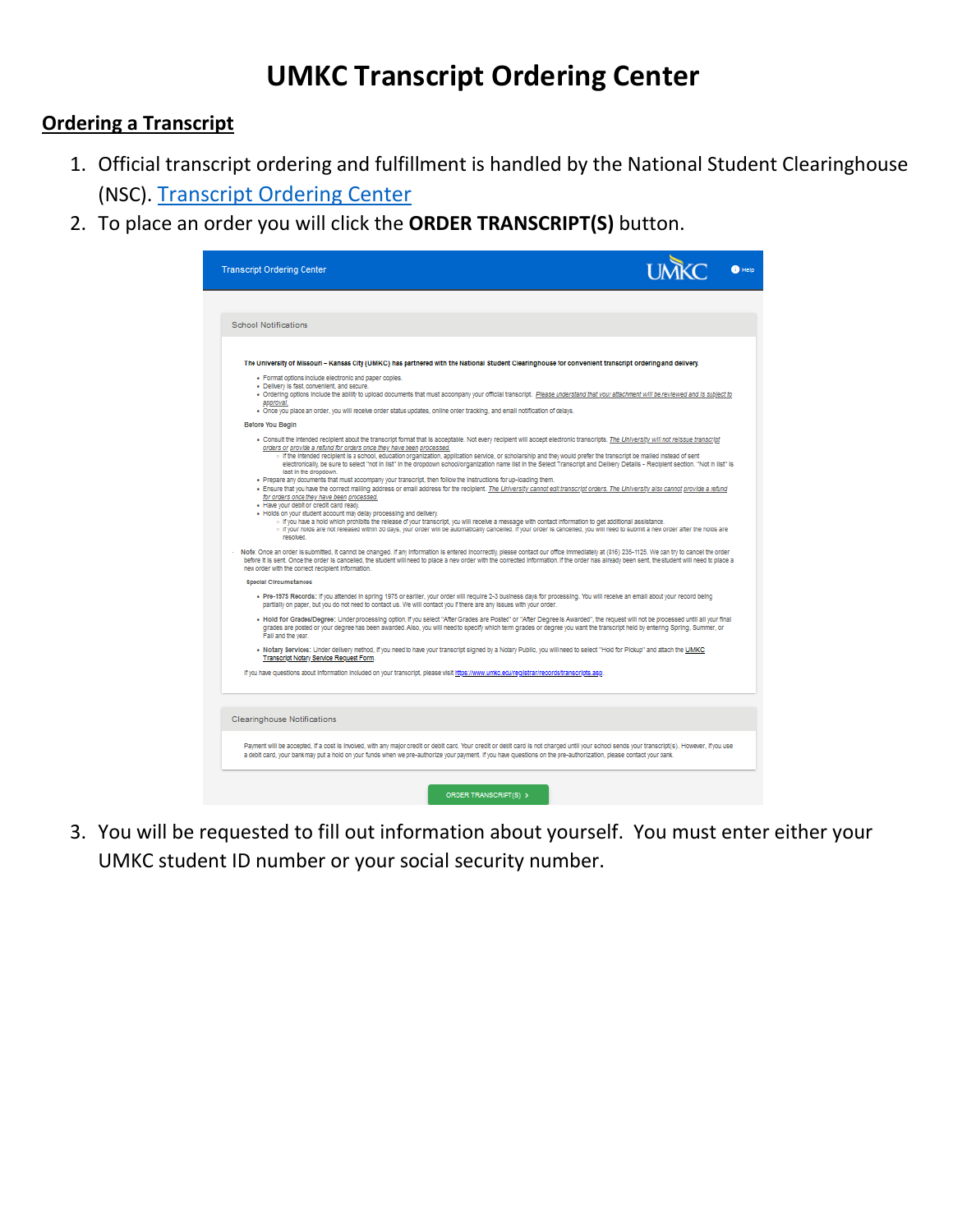# **UMKC Transcript Ordering Center**

### **Ordering a Transcript**

- 1. Official transcript ordering and fulfillment is handled by the National Student Clearinghouse (NSC). [Transcript Ordering Center](https://secure.studentclearinghouse.org/tsorder/schoolwelcome?FICECode=00251800)
- 2. To place an order you will click the **ORDER TRANSCRIPT(S)** button.

| <b>Transcript Ordering Center</b>                                                                                                                                                                                                                                                                                                                                                                                                                                                                                                                                                                                                                                              |  |
|--------------------------------------------------------------------------------------------------------------------------------------------------------------------------------------------------------------------------------------------------------------------------------------------------------------------------------------------------------------------------------------------------------------------------------------------------------------------------------------------------------------------------------------------------------------------------------------------------------------------------------------------------------------------------------|--|
|                                                                                                                                                                                                                                                                                                                                                                                                                                                                                                                                                                                                                                                                                |  |
| <b>School Notifications</b>                                                                                                                                                                                                                                                                                                                                                                                                                                                                                                                                                                                                                                                    |  |
| The University of Missouri - Kansas City (UMKC) has partnered with the National Student Clearinghouse for convenient transcript ordering and delivery.                                                                                                                                                                                                                                                                                                                                                                                                                                                                                                                         |  |
| · Format options include electronic and paper copies.<br>· Delivery is fast, convenient, and secure.<br>. Ordering options include the ability to upload documents that must accompany your official transcript. Please understand that your attachment will be reviewed and is subject to                                                                                                                                                                                                                                                                                                                                                                                     |  |
| approval.<br>. Once you place an order, you will receive order status updates, online order tracking, and email notification of delays.                                                                                                                                                                                                                                                                                                                                                                                                                                                                                                                                        |  |
| Before You Begin<br>. Consult the Intended recipient about the transcript format that is acceptable. Not every recipient will accept electronic transcripts. The University will not reissue transcript<br>orders or provide a refund for orders once they have been processed.<br>o if the intended recipient is a school, education organization, application service, or scholarship and they would prefer the transcript be mailed instead of sent                                                                                                                                                                                                                         |  |
| electronically, be sure to select "not in list" in the dropdown school/organization name list in the Select Transcript and Delivery Details - Recipient section. "Not in list" is<br>last in the dropdown.<br>. Prepare any documents that must accompany your transcript, then follow the instructions for up-loading them.<br>. Ensure that you have the correct mailing address or email address for the recipient. The University cannot edit transcript orders. The University also cannot provide a refund<br>for orders once they have been processed.<br>. Have your debit or credit card ready.<br>. Holds on your student account may delay processing and delivery. |  |
| o If you have a hold which prohibits the release of your transcript, you will receive a message with contact information to get additional assistance.<br>o If your holds are not released within 30 days, your order will be automatically cancelled. If your order is cancelled, you will need to submit a new order after the holds are<br>resolved.                                                                                                                                                                                                                                                                                                                        |  |
| Note: Once an order is submitted, it cannot be changed. If any information is entered incorrectly, please contact our office immediately at (816) 235-1125. We can try to cancel the order<br>before it is sent. Once the order is cancelled, the student will need to place a new order with the corrected information. If the order has already been sent, the student will need to place a<br>new order with the correct recipient information.                                                                                                                                                                                                                             |  |
| Special Circumstances                                                                                                                                                                                                                                                                                                                                                                                                                                                                                                                                                                                                                                                          |  |
| . Pre-1975 Records: if you attended in spring 1975 or earlier, your order will require 2-3 business days for processing. You will receive an email about your record being<br>partially on paper, but you do not need to contact us. We will contact you if there are any issues with your order.                                                                                                                                                                                                                                                                                                                                                                              |  |
| . Hold for Grades/Degree: Under processing option, if you select "After Grades are Posted" or "After Degree is Awarded", the request will not be processed until all your final<br>grades are posted or your degree has been awarded. Also, you will need to specify which term grades or degree you want the transcript held by entering Spring, Summer, or<br>Fall and the year.                                                                                                                                                                                                                                                                                             |  |
| . Notary Services: Under delivery method, if you need to have your transcript signed by a Notary Public, you will need to select "Hold for Pickup" and attach the UMKC<br>Transcript Notary Service Request Form.                                                                                                                                                                                                                                                                                                                                                                                                                                                              |  |
| If you have questions about information included on your transcript, please visit https://www.umkc.edu/registrar/records/transcripts.asp.                                                                                                                                                                                                                                                                                                                                                                                                                                                                                                                                      |  |
|                                                                                                                                                                                                                                                                                                                                                                                                                                                                                                                                                                                                                                                                                |  |
| <b>Clearinghouse Notifications</b>                                                                                                                                                                                                                                                                                                                                                                                                                                                                                                                                                                                                                                             |  |
| Payment will be accepted, if a cost is involved, with any major credit or debit card. Your credit or debit card is not charged until your school sends your transcript(s). However, if you use<br>a debit card, your bank may put a hold on your funds when we pre-authorize your payment. If you have questions on the pre-authorization, please contact your bank.                                                                                                                                                                                                                                                                                                           |  |
| <b>ORDER TRANSCRIPT(S) &gt;</b>                                                                                                                                                                                                                                                                                                                                                                                                                                                                                                                                                                                                                                                |  |

3. You will be requested to fill out information about yourself. You must enter either your UMKC student ID number or your social security number.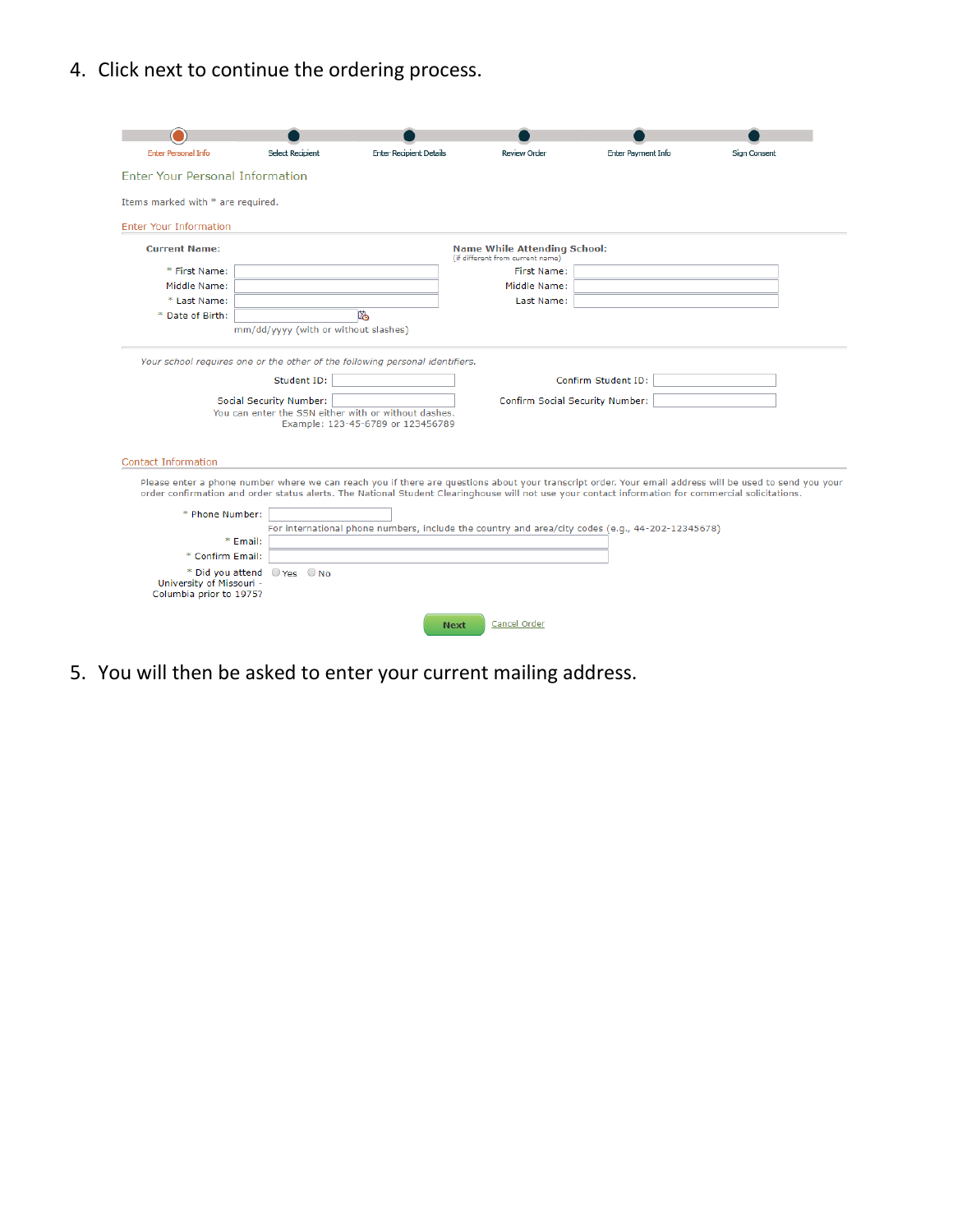4. Click next to continue the ordering process.

| <b>Enter Personal Info</b>                          | <b>Select Recipient</b>              | <b>Enter Recipient Details</b>                                                                                                                                                                                                                                                                                | Review Order                                                            | Enter Payment Info | Sign Consent |
|-----------------------------------------------------|--------------------------------------|---------------------------------------------------------------------------------------------------------------------------------------------------------------------------------------------------------------------------------------------------------------------------------------------------------------|-------------------------------------------------------------------------|--------------------|--------------|
| Enter Your Personal Information                     |                                      |                                                                                                                                                                                                                                                                                                               |                                                                         |                    |              |
| Items marked with * are required.                   |                                      |                                                                                                                                                                                                                                                                                                               |                                                                         |                    |              |
| <b>Enter Your Information</b>                       |                                      |                                                                                                                                                                                                                                                                                                               |                                                                         |                    |              |
| <b>Current Name:</b>                                |                                      |                                                                                                                                                                                                                                                                                                               | <b>Name While Attending School:</b><br>(if different from current name) |                    |              |
| * First Name:                                       |                                      |                                                                                                                                                                                                                                                                                                               | <b>First Name:</b>                                                      |                    |              |
| Middle Name:                                        |                                      |                                                                                                                                                                                                                                                                                                               | Middle Name:                                                            |                    |              |
| * Last Name:                                        |                                      |                                                                                                                                                                                                                                                                                                               | Last Name:                                                              |                    |              |
| * Date of Birth:                                    |                                      | 陷                                                                                                                                                                                                                                                                                                             |                                                                         |                    |              |
|                                                     | mm/dd/yyyy (with or without slashes) |                                                                                                                                                                                                                                                                                                               |                                                                         |                    |              |
|                                                     |                                      | You can enter the SSN either with or without dashes.<br>Example: 123-45-6789 or 123456789                                                                                                                                                                                                                     |                                                                         |                    |              |
| <b>Contact Information</b>                          |                                      |                                                                                                                                                                                                                                                                                                               |                                                                         |                    |              |
|                                                     |                                      | Please enter a phone number where we can reach you if there are questions about your transcript order. Your email address will be used to send you your<br>order confirmation and order status alerts. The National Student Clearinghouse will not use your contact information for commercial solicitations. |                                                                         |                    |              |
| * Phone Number:                                     |                                      |                                                                                                                                                                                                                                                                                                               |                                                                         |                    |              |
|                                                     | * Email:                             | For international phone numbers, include the country and area/city codes (e.g., 44-202-12345678)                                                                                                                                                                                                              |                                                                         |                    |              |
| * Confirm Email:                                    |                                      |                                                                                                                                                                                                                                                                                                               |                                                                         |                    |              |
| University of Missouri -<br>Columbia prior to 1975? | * Did you attend O Yes O No          |                                                                                                                                                                                                                                                                                                               |                                                                         |                    |              |
|                                                     |                                      | <b>Next</b>                                                                                                                                                                                                                                                                                                   | Cancel Order                                                            |                    |              |

5. You will then be asked to enter your current mailing address.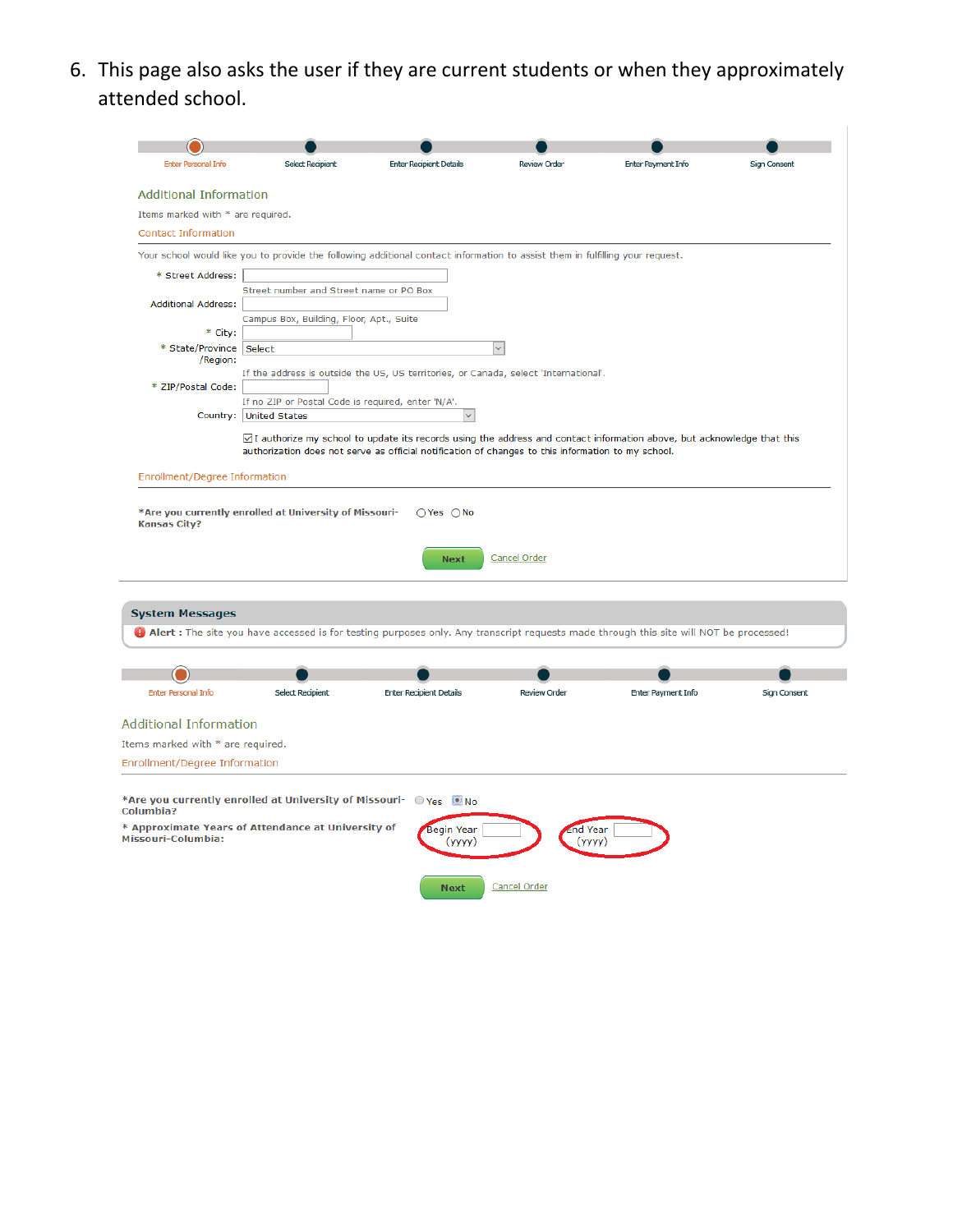6. This page also asks the user if they are current students or when they approximately attended school.

| <b>Enter Personal Info</b>                                                                                                                                                            | <b>Select Recipient</b>                                           | <b>Enter Recipient Details</b>                                                                                                        | <b>Review Order</b> | Enter Payment Info | Sign Consent |
|---------------------------------------------------------------------------------------------------------------------------------------------------------------------------------------|-------------------------------------------------------------------|---------------------------------------------------------------------------------------------------------------------------------------|---------------------|--------------------|--------------|
|                                                                                                                                                                                       |                                                                   |                                                                                                                                       |                     |                    |              |
| <b>Additional Information</b>                                                                                                                                                         |                                                                   |                                                                                                                                       |                     |                    |              |
| Items marked with * are required.                                                                                                                                                     |                                                                   |                                                                                                                                       |                     |                    |              |
| <b>Contact Information</b>                                                                                                                                                            |                                                                   |                                                                                                                                       |                     |                    |              |
|                                                                                                                                                                                       |                                                                   | Your school would like you to provide the following additional contact information to assist them in fulfilling your request.         |                     |                    |              |
| * Street Address:                                                                                                                                                                     |                                                                   |                                                                                                                                       |                     |                    |              |
|                                                                                                                                                                                       | Street number and Street name or PO Box                           |                                                                                                                                       |                     |                    |              |
| <b>Additional Address:</b>                                                                                                                                                            | Campus Box, Building, Floor, Apt., Suite                          |                                                                                                                                       |                     |                    |              |
| * City:                                                                                                                                                                               |                                                                   |                                                                                                                                       |                     |                    |              |
| * State/Province Select                                                                                                                                                               |                                                                   |                                                                                                                                       |                     |                    |              |
| /Region:                                                                                                                                                                              |                                                                   | If the address is outside the US, US territories, or Canada, select 'International'.                                                  |                     |                    |              |
| * ZIP/Postal Code:                                                                                                                                                                    |                                                                   |                                                                                                                                       |                     |                    |              |
|                                                                                                                                                                                       | If no ZIP or Postal Code is required, enter 'N/A'.                |                                                                                                                                       |                     |                    |              |
|                                                                                                                                                                                       | Country: United States                                            |                                                                                                                                       |                     |                    |              |
|                                                                                                                                                                                       |                                                                   | ⊠I authorize my school to update its records using the address and contact information above, but acknowledge that this               |                     |                    |              |
|                                                                                                                                                                                       |                                                                   | authorization does not serve as official notification of changes to this information to my school.                                    |                     |                    |              |
|                                                                                                                                                                                       |                                                                   |                                                                                                                                       |                     |                    |              |
|                                                                                                                                                                                       |                                                                   |                                                                                                                                       |                     |                    |              |
|                                                                                                                                                                                       | *Are you currently enrolled at University of Missouri-            | $OYes$ $ONo$                                                                                                                          |                     |                    |              |
|                                                                                                                                                                                       |                                                                   | <b>Next</b>                                                                                                                           | Cancel Order        |                    |              |
|                                                                                                                                                                                       |                                                                   |                                                                                                                                       |                     |                    |              |
|                                                                                                                                                                                       |                                                                   | Alert: The site you have accessed is for testing purposes only. Any transcript requests made through this site will NOT be processed! |                     |                    |              |
|                                                                                                                                                                                       |                                                                   |                                                                                                                                       |                     |                    |              |
|                                                                                                                                                                                       |                                                                   |                                                                                                                                       |                     |                    |              |
| <b>Enter Personal Info</b>                                                                                                                                                            | <b>Select Recipient</b>                                           | <b>Enter Recipient Details</b>                                                                                                        | Review Order        | Enter Payment Info | Sign Consent |
|                                                                                                                                                                                       |                                                                   |                                                                                                                                       |                     |                    |              |
|                                                                                                                                                                                       |                                                                   |                                                                                                                                       |                     |                    |              |
|                                                                                                                                                                                       |                                                                   |                                                                                                                                       |                     |                    |              |
| Enrollment/Degree Information<br><b>Kansas City?</b><br><b>System Messages</b><br><b>Additional Information</b><br>Items marked with * are required.<br>Enrollment/Degree Information |                                                                   |                                                                                                                                       |                     |                    |              |
| Columbia?                                                                                                                                                                             | *Are you currently enrolled at University of Missouri- O Yes O No |                                                                                                                                       |                     |                    |              |
|                                                                                                                                                                                       | * Approximate Years of Attendance at University of                | <b>Begin Year</b>                                                                                                                     | Ind Year            |                    |              |
| Missouri-Columbia:                                                                                                                                                                    |                                                                   | (yyyy)                                                                                                                                | (уууу)              |                    |              |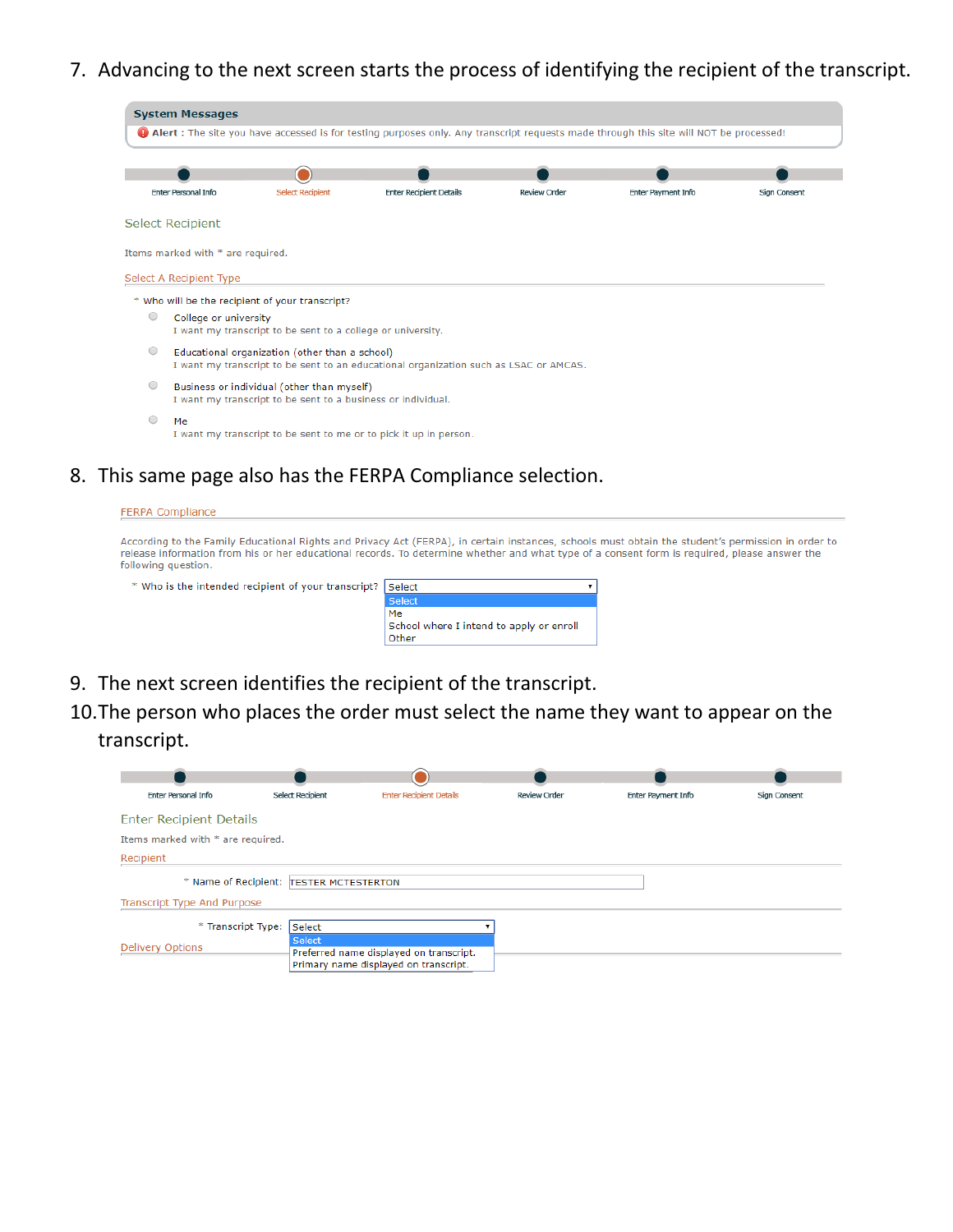7. Advancing to the next screen starts the process of identifying the recipient of the transcript.

|            | <b>System Messages</b>            |                                                                                                            |                                                                                                                                       |              |                           |                     |
|------------|-----------------------------------|------------------------------------------------------------------------------------------------------------|---------------------------------------------------------------------------------------------------------------------------------------|--------------|---------------------------|---------------------|
|            |                                   |                                                                                                            | Alert: The site you have accessed is for testing purposes only. Any transcript requests made through this site will NOT be processed! |              |                           |                     |
|            |                                   |                                                                                                            |                                                                                                                                       |              |                           |                     |
|            |                                   |                                                                                                            |                                                                                                                                       |              |                           |                     |
|            | <b>Enter Personal Info</b>        | <b>Select Recipient</b>                                                                                    | <b>Enter Recipient Details</b>                                                                                                        | Review Order | <b>Enter Payment Info</b> | <b>Sign Consent</b> |
|            | <b>Select Recipient</b>           |                                                                                                            |                                                                                                                                       |              |                           |                     |
|            | Items marked with * are required. |                                                                                                            |                                                                                                                                       |              |                           |                     |
|            | Select A Recipient Type           |                                                                                                            |                                                                                                                                       |              |                           |                     |
|            |                                   | * Who will be the recipient of your transcript?                                                            |                                                                                                                                       |              |                           |                     |
| $\circ$    | College or university             | I want my transcript to be sent to a college or university.                                                |                                                                                                                                       |              |                           |                     |
| $\bigcirc$ |                                   | Educational organization (other than a school)                                                             | I want my transcript to be sent to an educational organization such as LSAC or AMCAS.                                                 |              |                           |                     |
| $\bigcirc$ |                                   | Business or individual (other than myself)<br>I want my transcript to be sent to a business or individual. |                                                                                                                                       |              |                           |                     |
| ∩          | Me                                |                                                                                                            | I want my transcript to be sent to me or to pick it up in person.                                                                     |              |                           |                     |

#### 8. This same page also has the FERPA Compliance selection.

#### **FERPA Compliance** According to the Family Educational Rights and Privacy Act (FERPA), in certain instances, schools must obtain the student's permission in order to<br>release information from his or her educational records. To determine wheth following question. \* Who is the intended recipient of your transcript? Select  $\overline{\mathbf{1}}$

| .ca recipient or your cransempt. | TJEIEUL                                  |
|----------------------------------|------------------------------------------|
|                                  | <b>Select</b>                            |
|                                  | Me                                       |
|                                  | School where I intend to apply or enroll |
|                                  | Other                                    |
|                                  |                                          |

9. The next screen identifies the recipient of the transcript.

## 10.The person who places the order must select the name they want to appear on the transcript.

| <b>Enter Personal Info</b>        | Select Recipient                        | <b>Enter Recipient Details</b>                                                   | Review Order | Enter Payment Info | Sign Consent |
|-----------------------------------|-----------------------------------------|----------------------------------------------------------------------------------|--------------|--------------------|--------------|
| <b>Enter Recipient Details</b>    |                                         |                                                                                  |              |                    |              |
| Items marked with * are required. |                                         |                                                                                  |              |                    |              |
| Recipient                         |                                         |                                                                                  |              |                    |              |
|                                   | * Name of Recipient: TESTER MCTESTERTON |                                                                                  |              |                    |              |
| Transcript Type And Purpose       |                                         |                                                                                  |              |                    |              |
| * Transcript Type:                | Select                                  |                                                                                  |              |                    |              |
| <b>Delivery Options</b>           | <b>Select</b>                           | Preferred name displayed on transcript.<br>Primary name displayed on transcript. |              |                    |              |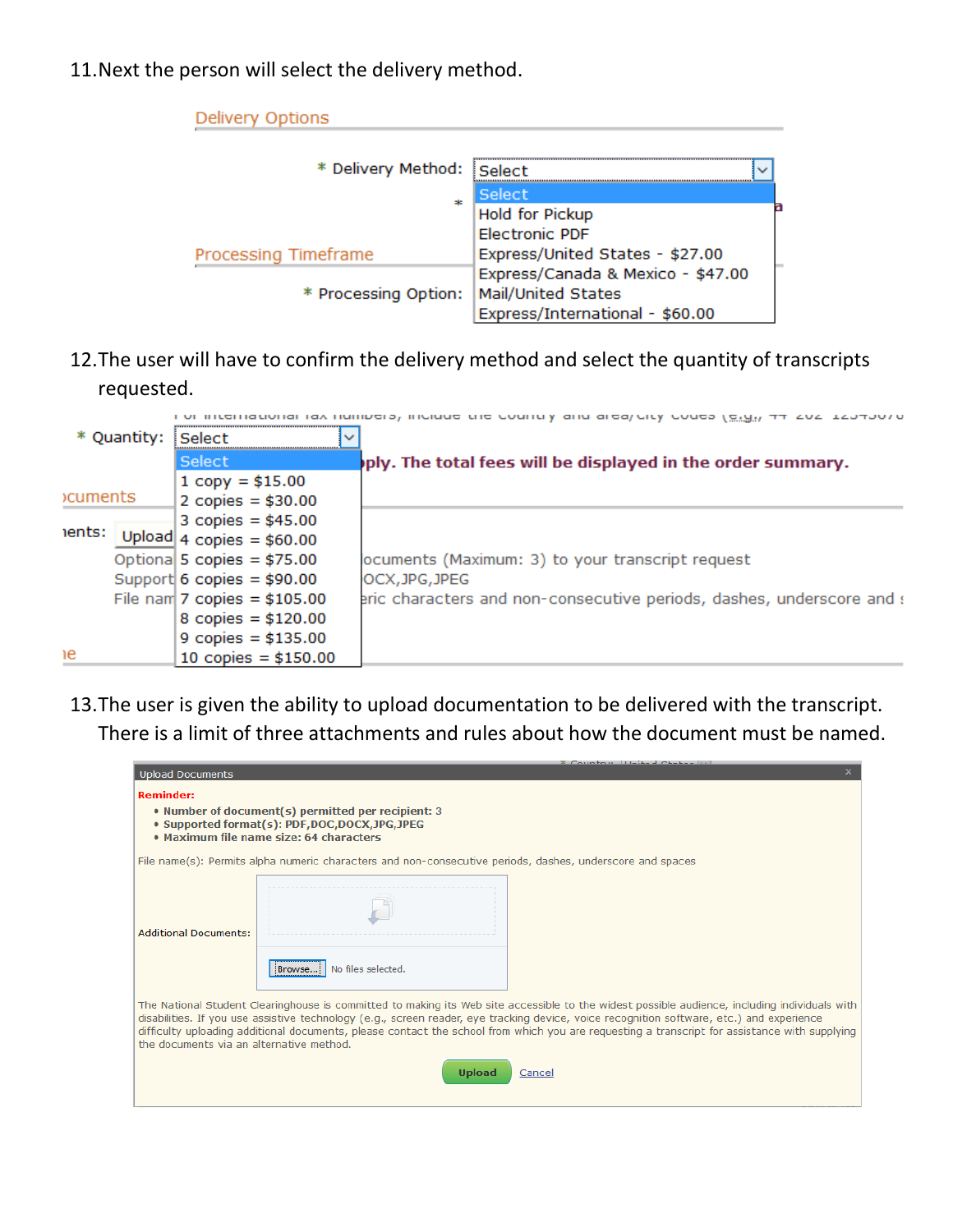11.Next the person will select the delivery method.

| Delivery Options     |                                   |  |
|----------------------|-----------------------------------|--|
| * Delivery Method:   | <b>Select</b>                     |  |
| ole.                 | Select                            |  |
|                      | <b>Hold for Pickup</b>            |  |
|                      | <b>Electronic PDF</b>             |  |
| Processing Timeframe | Express/United States - \$27.00   |  |
|                      | Express/Canada & Mexico - \$47.00 |  |
| * Processing Option: | Mail/United States                |  |
|                      | Express/International - \$60.00   |  |

12.The user will have to confirm the delivery method and select the quantity of transcripts requested.

|                | * Quantity: Select |                                | <b>INTERNATION AND INTERNATIONAL CONTRACT CONTRACT OF A CONTRACT CONTRACT AND INTERNATIONAL INTERNATIONAL INTERNATION</b> |
|----------------|--------------------|--------------------------------|---------------------------------------------------------------------------------------------------------------------------|
|                |                    | Select                         | ply. The total fees will be displayed in the order summary.                                                               |
|                |                    | $1$ copy = \$15.00             |                                                                                                                           |
| <b>cuments</b> |                    | 2 copies = $$30.00$            |                                                                                                                           |
|                |                    | 3 copies = $$45.00$            |                                                                                                                           |
| ents:          |                    | Upload 4 copies = $$60.00$     |                                                                                                                           |
|                |                    | Optional 5 copies = $$75.00$   | ocuments (Maximum: 3) to your transcript request                                                                          |
|                |                    | Support 6 copies = $$90.00$    | OCX, JPG, JPEG                                                                                                            |
|                |                    | File nam $7$ copies = \$105.00 | eric characters and non-consecutive periods, dashes, underscore and a                                                     |
|                |                    | 8 copies = $$120.00$           |                                                                                                                           |
|                |                    | 9 copies = $$135.00$           |                                                                                                                           |
| ١e             |                    | 10 copies = $$150.00$          |                                                                                                                           |

13.The user is given the ability to upload documentation to be delivered with the transcript. There is a limit of three attachments and rules about how the document must be named.

|                                          |                                                                                                                                               | Country Huit-J Chiti                                                                                                                                                                                                                                                                                                                                                                                                                        |
|------------------------------------------|-----------------------------------------------------------------------------------------------------------------------------------------------|---------------------------------------------------------------------------------------------------------------------------------------------------------------------------------------------------------------------------------------------------------------------------------------------------------------------------------------------------------------------------------------------------------------------------------------------|
| <b>Upload Documents</b>                  |                                                                                                                                               |                                                                                                                                                                                                                                                                                                                                                                                                                                             |
| <b>Reminder:</b>                         |                                                                                                                                               |                                                                                                                                                                                                                                                                                                                                                                                                                                             |
|                                          | . Number of document(s) permitted per recipient: 3<br>• Supported format(s): PDF,DOC,DOCX,JPG,JPEG<br>. Maximum file name size: 64 characters |                                                                                                                                                                                                                                                                                                                                                                                                                                             |
|                                          | File name(s): Permits alpha numeric characters and non-consecutive periods, dashes, underscore and spaces                                     |                                                                                                                                                                                                                                                                                                                                                                                                                                             |
| <b>Additional Documents:</b>             | No files selected.<br>Browse                                                                                                                  |                                                                                                                                                                                                                                                                                                                                                                                                                                             |
| the documents via an alternative method. |                                                                                                                                               | The National Student Clearinghouse is committed to making its Web site accessible to the widest possible audience, including individuals with<br>disabilities. If you use assistive technology (e.g., screen reader, eye tracking device, voice recognition software, etc.) and experience<br>difficulty uploading additional documents, please contact the school from which you are requesting a transcript for assistance with supplying |
|                                          | <b>Upload</b>                                                                                                                                 | Cancel                                                                                                                                                                                                                                                                                                                                                                                                                                      |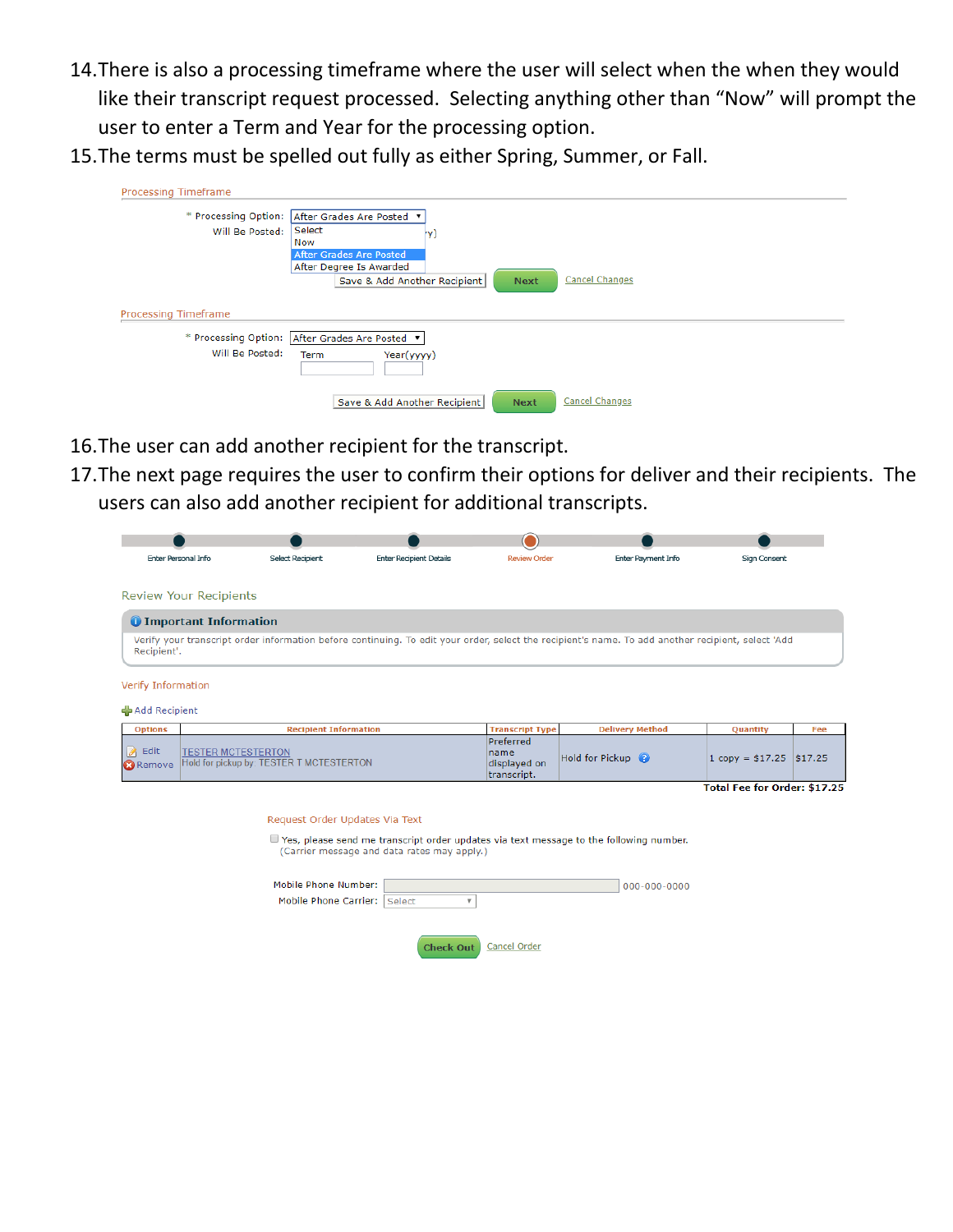- 14. There is also a processing timeframe where the user will select when the when they would like their transcript request processed. Selecting anything other than "Now" will prompt the user to enter a Term and Year for the processing option.
- 15.The terms must be spelled out fully as either Spring, Summer, or Fall.

| Processing Timeframe |                                                                      |
|----------------------|----------------------------------------------------------------------|
| * Processing Option: | After Grades Are Posted v                                            |
| Will Be Posted:      | Select<br>IY)                                                        |
|                      | Now                                                                  |
|                      | After Grades Are Posted                                              |
|                      | After Degree Is Awarded                                              |
|                      | <b>Cancel Changes</b><br>Save & Add Another Recipient<br><b>Next</b> |
|                      |                                                                      |
| Processing Timeframe |                                                                      |
|                      | * Processing Option: After Grades Are Posted v                       |
| Will Be Posted:      | Year(yyyy)<br><b>Term</b>                                            |
|                      | Cancel Changes<br>Save & Add Another Recipient<br><b>Next</b>        |

- 16.The user can add another recipient for the transcript.
- 17.The next page requires the user to confirm their options for deliver and their recipients. The users can also add another recipient for additional transcripts.

| <b>Enter Personal Info</b>                                    | <b>Select Recipient</b>                  | <b>Enter Recipient Details</b>              | <b>Review Order</b>                              | Enter Payment Info                                                                                                                                 | <b>Sign Consent</b>          |     |
|---------------------------------------------------------------|------------------------------------------|---------------------------------------------|--------------------------------------------------|----------------------------------------------------------------------------------------------------------------------------------------------------|------------------------------|-----|
| <b>Review Your Recipients</b>                                 |                                          |                                             |                                                  |                                                                                                                                                    |                              |     |
| <b>O</b> Important Information                                |                                          |                                             |                                                  |                                                                                                                                                    |                              |     |
| Recipient'.                                                   |                                          |                                             |                                                  | Verify your transcript order information before continuing. To edit your order, select the recipient's name. To add another recipient, select 'Add |                              |     |
| Verify Information                                            |                                          |                                             |                                                  |                                                                                                                                                    |                              |     |
| Add Recipient                                                 |                                          |                                             |                                                  |                                                                                                                                                    |                              |     |
| <b>Options</b>                                                | <b>Recipient Information</b>             |                                             | <b>Transcript Type</b>                           | <b>Delivery Method</b>                                                                                                                             | Quantity                     | Fee |
| $\theta$ Edit<br><b>TESTER MCTESTERTON</b><br><b>O</b> Remove | Hold for pickup by: TESTER T MCTESTERTON |                                             | Preferred<br>name<br>displayed on<br>transcript. | Hold for Pickup @                                                                                                                                  | $1 copy = $17.25$ \$17.25    |     |
|                                                               |                                          |                                             |                                                  |                                                                                                                                                    | Total Fee for Order: \$17.25 |     |
|                                                               |                                          |                                             |                                                  |                                                                                                                                                    |                              |     |
|                                                               | Request Order Updates Via Text           |                                             |                                                  |                                                                                                                                                    |                              |     |
|                                                               |                                          | (Carrier message and data rates may apply.) |                                                  | $\Box$ Yes, please send me transcript order updates via text message to the following number.                                                      |                              |     |
|                                                               |                                          |                                             |                                                  |                                                                                                                                                    |                              |     |
|                                                               | Mobile Phone Number:                     |                                             |                                                  | 000-000-0000                                                                                                                                       |                              |     |
|                                                               | <b>Mobile Phone Carrier:</b>             | Select<br>$\overline{\mathbf{v}}$           |                                                  |                                                                                                                                                    |                              |     |
|                                                               |                                          |                                             |                                                  |                                                                                                                                                    |                              |     |
|                                                               |                                          | <b>Check Out</b>                            | Cancel Order                                     |                                                                                                                                                    |                              |     |
|                                                               |                                          |                                             |                                                  |                                                                                                                                                    |                              |     |
|                                                               |                                          |                                             |                                                  |                                                                                                                                                    |                              |     |
|                                                               |                                          |                                             |                                                  |                                                                                                                                                    |                              |     |